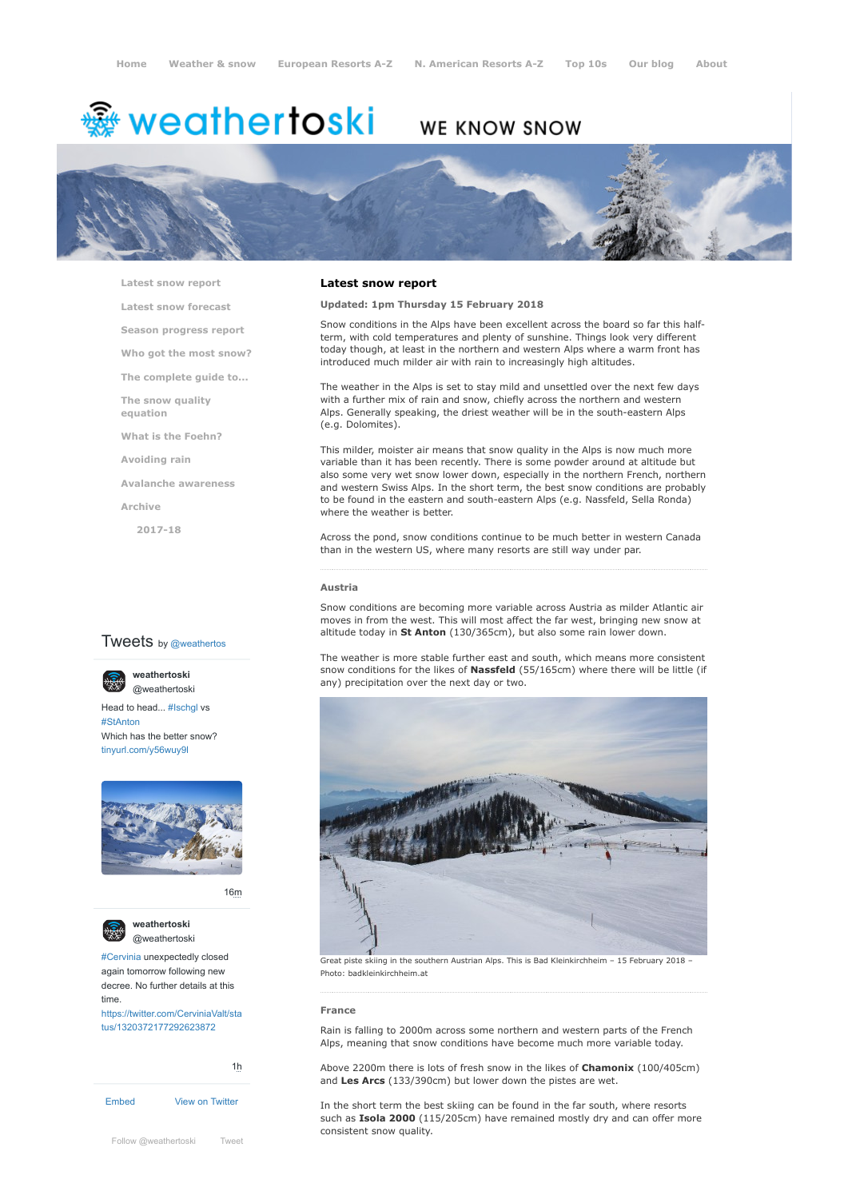# <del>▒</del> weathertoski

# WE KNOW SNOW



**[Latest snow report](https://www.weathertoski.co.uk/weather-snow/latest-snow-report/)**

**[Latest snow forecast](https://www.weathertoski.co.uk/weather-snow/latest-snow-forecast/)**

**[Season progress report](https://www.weathertoski.co.uk/weather-snow/season-progress-report/)**

**[Who got the most snow?](https://www.weathertoski.co.uk/weather-snow/who-got-the-most-snow/)**

**[The complete guide to...](https://www.weathertoski.co.uk/weather-snow/the-complete-guide-to/)**

**[The snow quality](https://www.weathertoski.co.uk/weather-snow/the-snow-quality-equation/) equation**

**[What is the Foehn?](https://www.weathertoski.co.uk/weather-snow/what-is-the-foehn/)**

**[Avoiding rain](https://www.weathertoski.co.uk/weather-snow/avoiding-rain/)**

**[Avalanche awareness](https://www.weathertoski.co.uk/weather-snow/avalanche-awareness/)**

**[Archive](https://www.weathertoski.co.uk/weather-snow/archive/)**

**[2017-18](https://www.weathertoski.co.uk/weather-snow/archive/2017-18/)**

# **Tweets** by @weathertos

**weathertoski** [@weathertoski](https://twitter.com/weathertoski)



Head to head... [#Ischgl](https://twitter.com/hashtag/Ischgl?src=hash) vs [#StAnton](https://twitter.com/hashtag/StAnton?src=hash) Which has the better snow? [tinyurl.com/y56wuy9l](https://t.co/AeKkyB0N9S)



[16m](https://twitter.com/weathertoski/status/1320387692862050304)



**weathertoski** [@weathertoski](https://twitter.com/weathertoski)

[#Cervinia](https://twitter.com/hashtag/Cervinia?src=hash) unexpectedly closed again tomorrow following new decree. No further details at this time. [https://twitter.com/CerviniaValt/sta](https://twitter.com/CerviniaValt/status/1320372177292623872)

tus/1320372177292623872

[Embed](https://publish.twitter.com/?url=https%3A%2F%2Ftwitter.com%2Fweathertoski) [View on Twitter](https://twitter.com/weathertoski) [1h](https://twitter.com/weathertoski/status/1320376647305093126)

# **Latest snow report**

# **Updated: 1pm Thursday 15 February 2018**

Snow conditions in the Alps have been excellent across the board so far this halfterm, with cold temperatures and plenty of sunshine. Things look very different today though, at least in the northern and western Alps where a warm front has introduced much milder air with rain to increasingly high altitudes.

The weather in the Alps is set to stay mild and unsettled over the next few days with a further mix of rain and snow, chiefly across the northern and western Alps. Generally speaking, the driest weather will be in the south-eastern Alps (e.g. Dolomites).

This milder, moister air means that snow quality in the Alps is now much more variable than it has been recently. There is some powder around at altitude but also some very wet snow lower down, especially in the northern French, northern and western Swiss Alps. In the short term, the best snow conditions are probably to be found in the eastern and south-eastern Alps (e.g. Nassfeld, Sella Ronda) where the weather is better.

Across the pond, snow conditions continue to be much better in western Canada than in the western US, where many resorts are still way under par.

#### **Austria**

Snow conditions are becoming more variable across Austria as milder Atlantic air moves in from the west. This will most affect the far west, bringing new snow at altitude today in **St Anton** (130/365cm), but also some rain lower down.

The weather is more stable further east and south, which means more consistent snow conditions for the likes of **Nassfeld** (55/165cm) where there will be little (if any) precipitation over the next day or two.



Great piste skiing in the southern Austrian Alps. This is Bad Kleinkirchheim - 15 February 2018 -Photo: badkleinkirchheim.at

#### **France**

Rain is falling to 2000m across some northern and western parts of the French Alps, meaning that snow conditions have become much more variable today.

Above 2200m there is lots of fresh snow in the likes of **Chamonix** (100/405cm) and **Les Arcs** (133/390cm) but lower down the pistes are wet.

In the short term the best skiing can be found in the far south, where resorts such as **Isola 2000** (115/205cm) have remained mostly dry and can offer more consistent snow quality.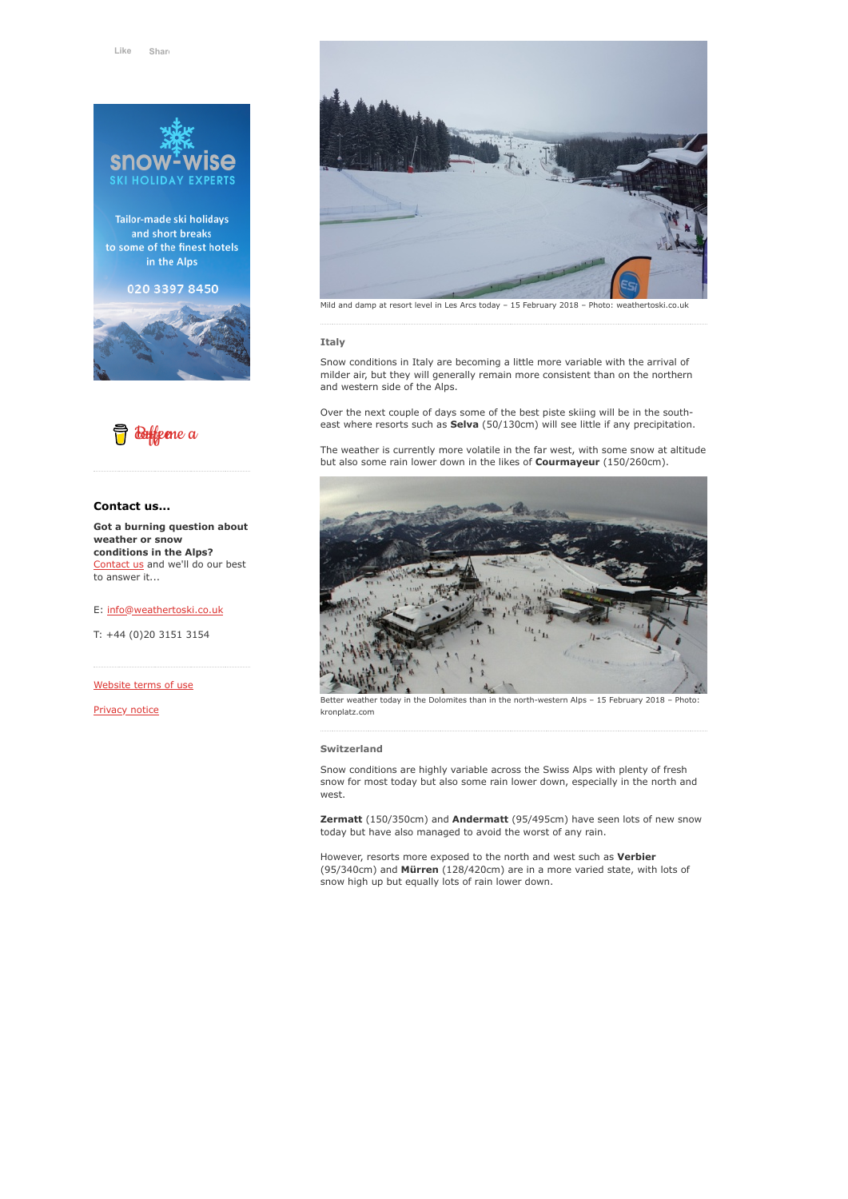

Tailor-made ski holidays and short breaks to some of the finest hotels in the Alps

020 3397 8450





# **Contact us...**

**Got a burning question about weather or snow conditions in the Alps?** [Contact us](https://www.weathertoski.co.uk/about-1/contact-us/) and we'll do our best to answer it...

E: [info@weathertoski.co.uk](mailto:fraser@weathertoski.co.uk)

T: +44 (0)20 3151 3154

[Website terms of use](https://www.weathertoski.co.uk/about-1/website-terms-of-use/)

[Privacy notice](https://www.weathertoski.co.uk/about-1/privacy-notice/)



Mild and damp at resort level in Les Arcs today – 15 February 2018 – Photo: weathertoski.co.uk

#### **Italy**

Snow conditions in Italy are becoming a little more variable with the arrival of milder air, but they will generally remain more consistent than on the northern and western side of the Alps.

Over the next couple of days some of the best piste skiing will be in the southeast where resorts such as **Selva** (50/130cm) will see little if any precipitation.

The weather is currently more volatile in the far west, with some snow at altitude but also some rain lower down in the likes of **Courmayeur** (150/260cm).



weather today in the Dolomites than in the north-western Alps - 15 February 2018 - Photo: kronplatz.com

#### **Switzerland**

Snow conditions are highly variable across the Swiss Alps with plenty of fresh snow for most today but also some rain lower down, especially in the north and west.

**Zermatt** (150/350cm) and **Andermatt** (95/495cm) have seen lots of new snow today but have also managed to avoid the worst of any rain.

However, resorts more exposed to the north and west such as **Verbier** (95/340cm) and **Mürren** (128/420cm) are in a more varied state, with lots of snow high up but equally lots of rain lower down.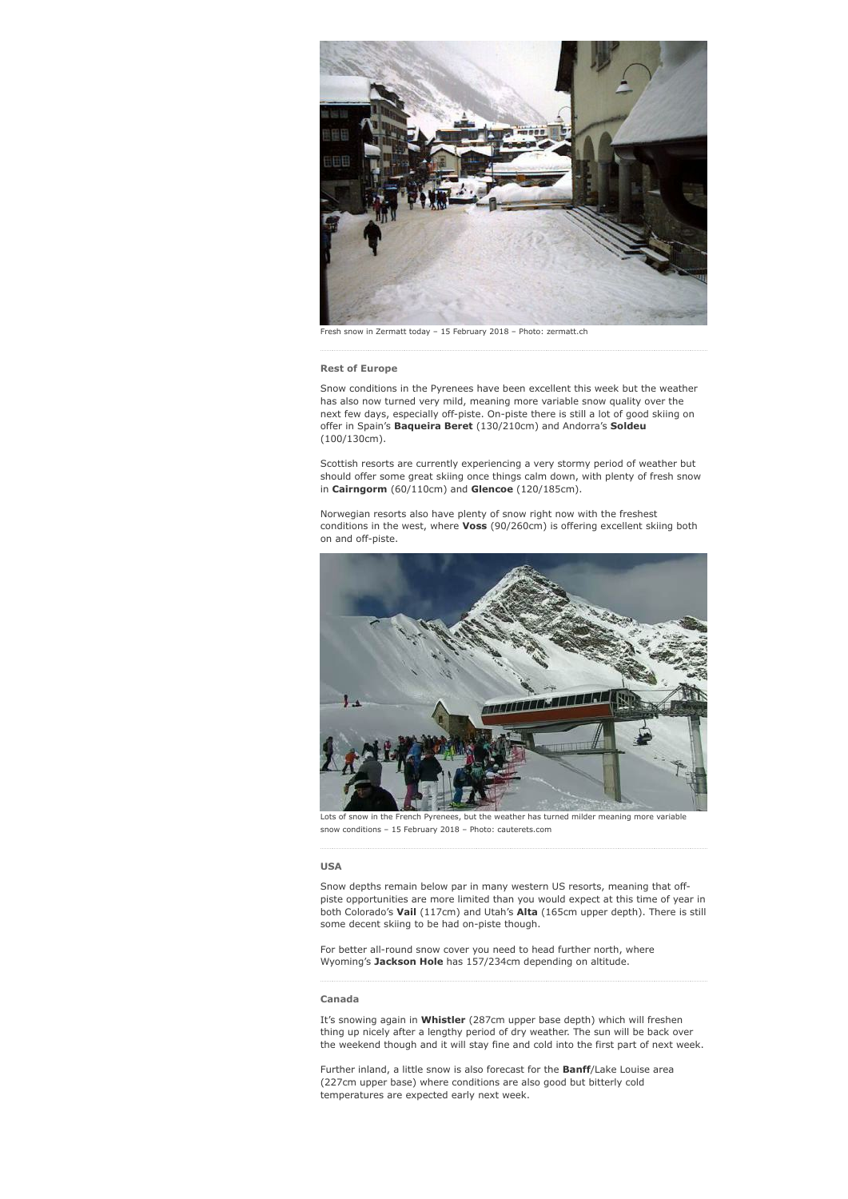

Fresh snow in Zermatt today – 15 February 2018 – Photo: zermatt.ch

# **Rest of Europe**

Snow conditions in the Pyrenees have been excellent this week but the weather has also now turned very mild, meaning more variable snow quality over the next few days, especially off-piste. On-piste there is still a lot of good skiing on offer in Spain's **Baqueira Beret** (130/210cm) and Andorra's **Soldeu** (100/130cm).

Scottish resorts are currently experiencing a very stormy period of weather but should offer some great skiing once things calm down, with plenty of fresh snow in **Cairngorm** (60/110cm) and **Glencoe** (120/185cm).

Norwegian resorts also have plenty of snow right now with the freshest conditions in the west, where **Voss** (90/260cm) is offering excellent skiing both on and off-piste.



Lots of snow in the French Pyrenees, but the weather has turned milder meaning more variable snow conditions – 15 February 2018 – Photo: cauterets.com

### **USA**

Snow depths remain below par in many western US resorts, meaning that offpiste opportunities are more limited than you would expect at this time of year in both Colorado's **Vail** (117cm) and Utah's **Alta** (165cm upper depth). There is still some decent skiing to be had on-piste though.

For better all-round snow cover you need to head further north, where Wyoming's **Jackson Hole** has 157/234cm depending on altitude.

# **Canada**

It's snowing again in **Whistler** (287cm upper base depth) which will freshen thing up nicely after a lengthy period of dry weather. The sun will be back over the weekend though and it will stay fine and cold into the first part of next week.

Further inland, a little snow is also forecast for the **Banff**/Lake Louise area (227cm upper base) where conditions are also good but bitterly cold temperatures are expected early next week.